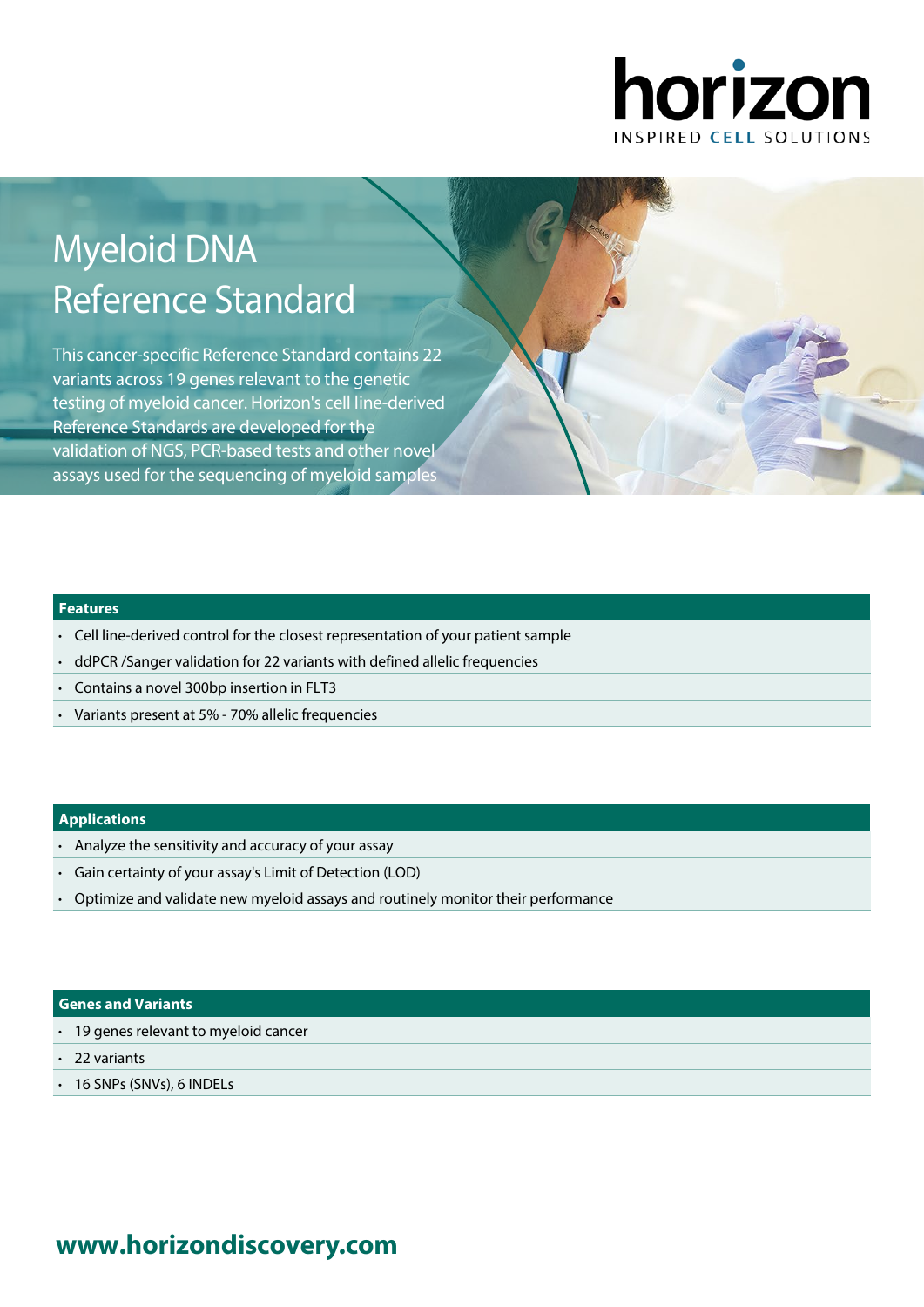

# Myeloid DNA Reference Standard

This cancer-specific Reference Standard contains 22 variants across 19 genes relevant to the genetic testing of myeloid cancer. Horizon's cell line-derived Reference Standards are developed for the validation of NGS, PCR-based tests and other novel assays used for the sequencing of myeloid samples

### **Features**

- Cell line-derived control for the closest representation of your patient sample
- ddPCR /Sanger validation for 22 variants with defined allelic frequencies
- Contains a novel 300bp insertion in FLT3
- Variants present at 5% 70% allelic frequencies

### **Applications**

- Analyze the sensitivity and accuracy of your assay
- Gain certainty of your assay's Limit of Detection (LOD)
- Optimize and validate new myeloid assays and routinely monitor their performance

### **Genes and Variants**

- 19 genes relevant to myeloid cancer
- 22 variants
- 16 SNPs (SNVs), 6 INDELs

# **www.[horizondiscovery.com](www.horizondiscovery.com?utm_source=revisit&utm_medium=pdf&utm_campaign=dx)**